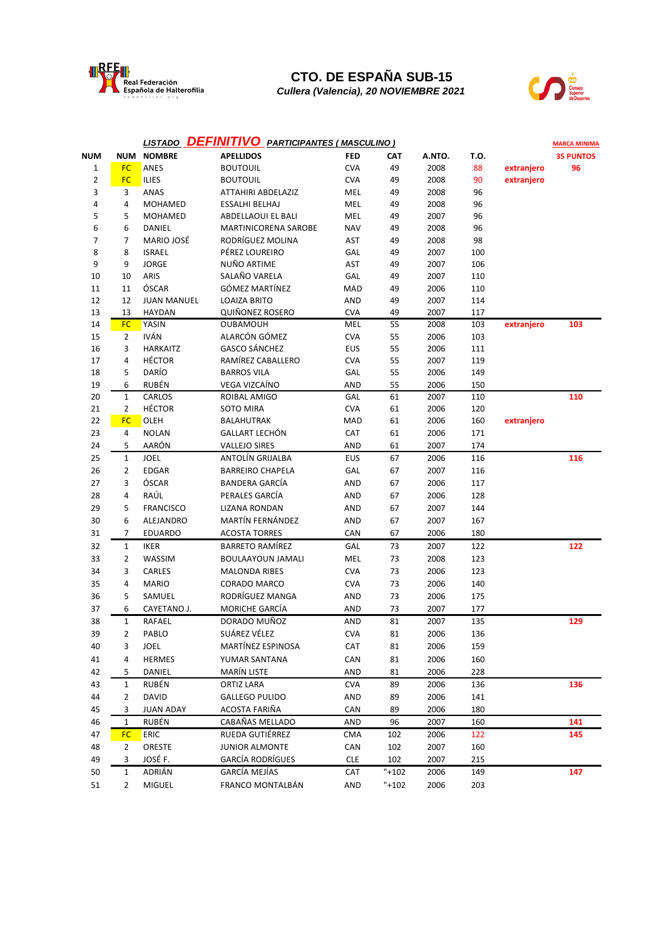

## **CTO. DE ESPAÑA SUB-15**

*Cullera (Valencia), 20 NOVIEMBRE 2021*



|            | <b>DEFINITIVO PARTICIPANTES (MASCULINO)</b><br><b>LISTADO</b> |                    |                             |            |          |        |      |            | <b>MARCA MINIMA</b> |
|------------|---------------------------------------------------------------|--------------------|-----------------------------|------------|----------|--------|------|------------|---------------------|
| <b>NUM</b> |                                                               | <b>NUM NOMBRE</b>  | <b>APELLIDOS</b>            | <b>FED</b> | CAT      | A.NTO. | T.O. |            | <b>35 PUNTOS</b>    |
| 1          | <b>FC</b>                                                     | ANES               | <b>BOUTOUIL</b>             | <b>CVA</b> | 49       | 2008   | 88   | extranjero | 96                  |
| 2          | <b>FC</b>                                                     | ILIES              | <b>BOUTOUIL</b>             | <b>CVA</b> | 49       | 2008   | 90   | extranjero |                     |
| 3          | 3                                                             | ANAS               | ATTAHIRI ABDELAZIZ          | MEL        | 49       | 2008   | 96   |            |                     |
| 4          | 4                                                             | MOHAMED            | ESSALHI BELHAJ              | MEL        | 49       | 2008   | 96   |            |                     |
| 5          | 5                                                             | <b>MOHAMED</b>     | ABDELLAOUI EL BALI          | MEL        | 49       | 2007   | 96   |            |                     |
| 6          | 6                                                             | DANIEL             | <b>MARTINICORENA SAROBE</b> | <b>NAV</b> | 49       | 2008   | 96   |            |                     |
| 7          | 7                                                             | MARIO JOSÉ         | RODRÍGUEZ MOLINA            | AST        | 49       | 2008   | 98   |            |                     |
| 8          | 8                                                             | <b>ISRAEL</b>      | PÉREZ LOUREIRO              | GAL        | 49       | 2007   | 100  |            |                     |
| 9          | 9                                                             | <b>JORGE</b>       | NUÑO ARTIME                 | AST        | 49       | 2007   | 106  |            |                     |
| 10         | 10                                                            | ARIS               | SALAÑO VARELA               | GAL        | 49       | 2007   | 110  |            |                     |
| 11         | 11                                                            | ÓSCAR              | GÓMEZ MARTÍNEZ              | <b>MAD</b> | 49       | 2006   | 110  |            |                     |
| 12         | 12                                                            | <b>JUAN MANUEL</b> | <b>LOAIZA BRITO</b>         | <b>AND</b> | 49       | 2007   | 114  |            |                     |
| 13         | 13                                                            | <b>HAYDAN</b>      | <b>QUIÑONEZ ROSERO</b>      | <b>CVA</b> | 49       | 2007   | 117  |            |                     |
| 14         | <b>FC</b>                                                     | YASIN              | <b>OUBAMOUH</b>             | MEL        | 55       | 2008   | 103  | extranjero | 103                 |
| 15         | $\overline{2}$                                                | IVÁN               | ALARCÓN GÓMEZ               | <b>CVA</b> | 55       | 2006   | 103  |            |                     |
| 16         | 3                                                             | <b>HARKAITZ</b>    | <b>GASCO SÁNCHEZ</b>        | EUS        | 55       | 2006   | 111  |            |                     |
| 17         | 4                                                             | <b>HÉCTOR</b>      | RAMÍREZ CABALLERO           | <b>CVA</b> | 55       | 2007   | 119  |            |                     |
| 18         | 5                                                             | DARÍO              | <b>BARROS VILA</b>          | GAL        | 55       | 2006   | 149  |            |                     |
| 19         | 6                                                             | RUBÉN              | VEGA VIZCAÍNO               | <b>AND</b> | 55       | 2006   | 150  |            |                     |
| 20         | $\mathbf{1}$                                                  | <b>CARLOS</b>      | ROIBAL AMIGO                | GAL        | 61       | 2007   | 110  |            | 110                 |
| 21         | $\overline{2}$                                                | <b>HÉCTOR</b>      | SOTO MIRA                   | <b>CVA</b> | 61       | 2006   | 120  |            |                     |
| 22         | <b>FC</b>                                                     | OLEH               | <b>BALAHUTRAK</b>           | MAD        | 61       | 2006   | 160  | extranjero |                     |
| 23         | 4                                                             | <b>NOLAN</b>       | <b>GALLART LECHÓN</b>       | <b>CAT</b> | 61       | 2006   | 171  |            |                     |
| 24         | 5                                                             | AARÓN              | <b>VALLEJO SIRES</b>        | <b>AND</b> | 61       | 2007   | 174  |            |                     |
| 25         | $1\,$                                                         | <b>JOEL</b>        | ANTOLÍN GRIJALBA            | <b>EUS</b> | 67       | 2006   | 116  |            | 116                 |
| 26         | $\overline{2}$                                                | <b>EDGAR</b>       | <b>BARREIRO CHAPELA</b>     | GAL        | 67       | 2007   | 116  |            |                     |
| 27         | 3                                                             | ÓSCAR              | <b>BANDERA GARCÍA</b>       | <b>AND</b> | 67       | 2006   | 117  |            |                     |
| 28         | 4                                                             | RAÚL               | PERALES GARCÍA              | <b>AND</b> | 67       | 2006   | 128  |            |                     |
| 29         | 5                                                             | <b>FRANCISCO</b>   | LIZANA RONDAN               | <b>AND</b> | 67       | 2007   | 144  |            |                     |
| 30         | 6                                                             | ALEJANDRO          | MARTÍN FERNÁNDEZ            | <b>AND</b> | 67       | 2007   | 167  |            |                     |
| 31         | $\overline{7}$                                                | <b>EDUARDO</b>     | <b>ACOSTA TORRES</b>        | CAN        | 67       | 2006   | 180  |            |                     |
| 32         | $\mathbf{1}$                                                  | <b>IKER</b>        | <b>BARRETO RAMÍREZ</b>      | GAL        | 73       | 2007   | 122  |            | 122                 |
| 33         | $\overline{2}$                                                | WASSIM             | <b>BOULAAYOUN JAMALI</b>    | MEL        | 73       | 2008   | 123  |            |                     |
| 34         | 3                                                             | CARLES             | <b>MALONDA RIBES</b>        | <b>CVA</b> | 73       | 2006   | 123  |            |                     |
| 35         | 4                                                             | <b>MARIO</b>       | <b>CORADO MARCO</b>         | <b>CVA</b> | 73       | 2006   | 140  |            |                     |
| 36         | 5                                                             | SAMUEL             | RODRÍGUEZ MANGA             | <b>AND</b> | 73       | 2006   | 175  |            |                     |
| 37         | 6                                                             | CAYETANO J.        | MORICHE GARCÍA              | AND        | 73       | 2007   | 177  |            |                     |
| 38         | $\mathbf 1$                                                   | RAFAEL             | DORADO MUÑOZ                | <b>AND</b> | 81       | 2007   | 135  |            | 129                 |
| 39         | 2                                                             | PABLO              | SUÁREZ VÉLEZ                | <b>CVA</b> | 81       | 2006   | 136  |            |                     |
| 40         | 3                                                             | JOEL               | MARTÍNEZ ESPINOSA           | <b>CAT</b> | 81       | 2006   | 159  |            |                     |
| 41         | 4                                                             | <b>HERMES</b>      | YUMAR SANTANA               | CAN        | 81       | 2006   | 160  |            |                     |
| 42         | 5                                                             | DANIEL             | <b>MARÍN LISTE</b>          | AND        | 81       | 2006   | 228  |            |                     |
| 43         | $\mathbf{1}$                                                  | RUBÉN              | <b>ORTIZ LARA</b>           | <b>CVA</b> | 89       | 2006   | 136  |            | 136                 |
| 44         | $\overline{2}$                                                | <b>DAVID</b>       | <b>GALLEGO PULIDO</b>       | AND        | 89       | 2006   | 141  |            |                     |
| 45         | 3                                                             | <b>JUAN ADAY</b>   | ACOSTA FARIÑA               | CAN        | 89       | 2006   | 180  |            |                     |
| 46         | $\mathbf 1$                                                   | RUBÉN              | CABAÑAS MELLADO             | AND        | 96       | 2007   | 160  |            | 141                 |
| 47         | <b>FC</b>                                                     | <b>ERIC</b>        | RUEDA GUTIÉRREZ             | CMA        | 102      | 2006   | 122  |            | 145                 |
| 48         | $\overline{2}$                                                | ORESTE             | <b>JUNIOR ALMONTE</b>       | CAN        | 102      | 2007   | 160  |            |                     |
| 49         | 3                                                             | JOSÉ F.            | <b>GARCÍA RODRÍGUES</b>     | <b>CLE</b> | 102      | 2007   | 215  |            |                     |
| 50         | $\mathbf 1$                                                   | ADRIÁN             | GARCÍA MEJÍAS               | CAT        | $"+102"$ | 2006   | 149  |            | 147                 |
| 51         | $\overline{2}$                                                | MIGUEL             | FRANCO MONTALBÁN            | AND        | $"+102"$ | 2006   | 203  |            |                     |
|            |                                                               |                    |                             |            |          |        |      |            |                     |